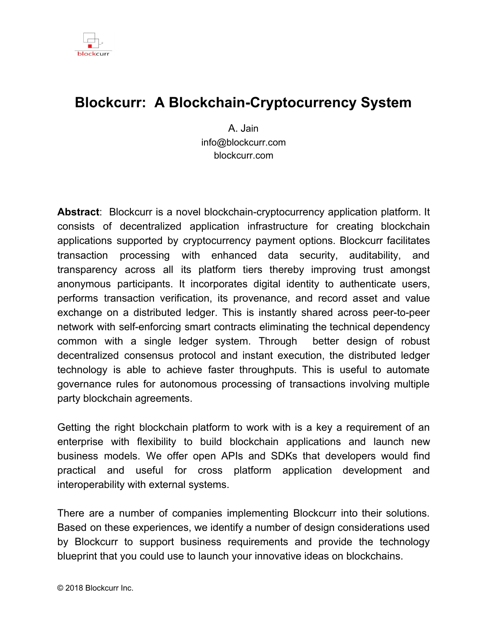

#### **Blockcurr: A Blockchain-Cryptocurrency System**

A. Jain info@blockcurr.com blockcurr.com

**Abstract**: Blockcurr is a novel blockchain-cryptocurrency application platform. It consists of decentralized application infrastructure for creating blockchain applications supported by cryptocurrency payment options. Blockcurr facilitates transaction processing with enhanced data security, auditability, and transparency across all its platform tiers thereby improving trust amongst anonymous participants. It incorporates digital identity to authenticate users, performs transaction verification, its provenance, and record asset and value exchange on a distributed ledger. This is instantly shared across peer-to-peer network with self-enforcing smart contracts eliminating the technical dependency common with a single ledger system. Through better design of robust decentralized consensus protocol and instant execution, the distributed ledger technology is able to achieve faster throughputs. This is useful to automate governance rules for autonomous processing of transactions involving multiple party blockchain agreements.

Getting the right blockchain platform to work with is a key a requirement of an enterprise with flexibility to build blockchain applications and launch new business models. We offer open APIs and SDKs that developers would find practical and useful for cross platform application development and interoperability with external systems.

There are a number of companies implementing Blockcurr into their solutions. Based on these experiences, we identify a number of design considerations used by Blockcurr to support business requirements and provide the technology blueprint that you could use to launch your innovative ideas on blockchains.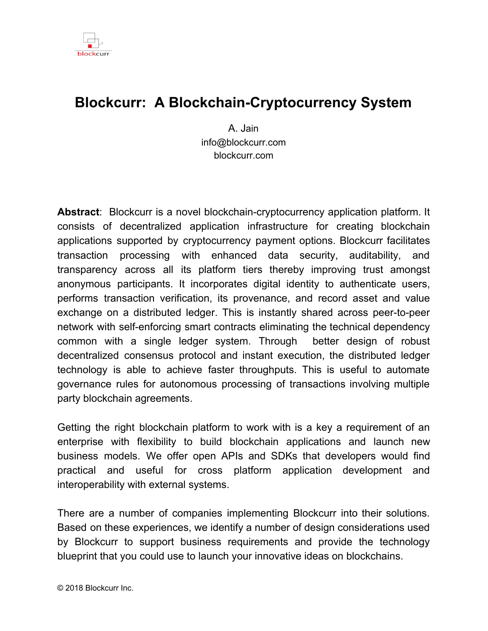

# Introduction

Develop decentralized application, deploy and test, and rollout solutions on blockchain network are three important activities that organizations perform to target opportunities with blockchains. All three are generally the focus with blockchain technology providers to promote the creation of decentralized business models. There are many examples from companies that have launched initial coin offering to encourage the use of their apps leveraging cryptocurrency and blockchain infrastructure. However, while cryptocurrency has been the subject of rigorous regulatory investigation in the blockchain industry, the blockchain community has placed considerably less attention on ways that this technology can support existing regulations and industry standards, to create better economic environment that transcends boundaries and improves the quality of life for all participants.

Designing blockchain technologies to promote disruption is a worthwhile goal for numerous reasons. Current business models are centralized and seem to favor a few individuals, organizations, people in power or those with tremendous wealth. The computing technologies in vogue support centralized deployments on cloud, big data, and mobility infrastructure. These have proven ineffective because of the number of layers and intermediaries involved to process and deliver information in meaningful ways. There are also technological challenges related to mining, development of self-learning capabilities useful for artificial intelligence solutions, autonomous systems, and self-governing exchanges.

Similar to how any prior technology has been used to improve and reward business outcomes, we believe blockchain offers an interesting area of research to explore its suitability for building digital information exchanges and decentralized autonomous organization (DAO). These are models for new economy that would use blockchains and cryptocurrency.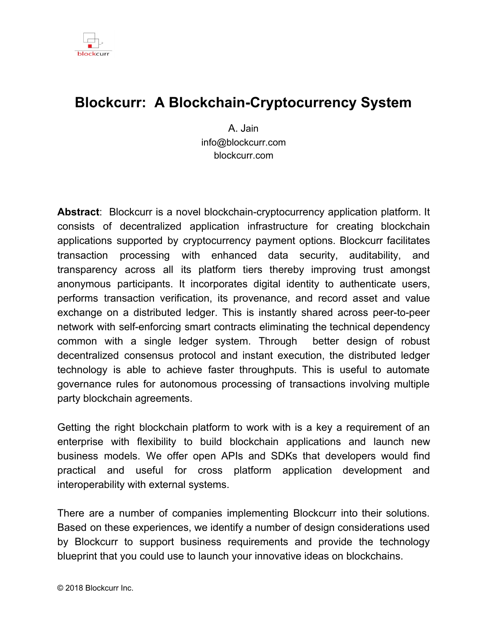

#### **Blockcurr**

To better understand how Blockcurr technology can play a critical role in launching decentralized applications and business models, we provide a brief background of Blockcurr platform and its core components used to support blockchain and cryptocurrency ecosystem.

First, Blockcurr provides blockchain computing technology with functionality to build software applications. This includes blockchain platform to create blockchain transactions and digitize assets, services to build and deploy smart contracts, digital wallets for storing data and cryptocurrency, capability to securely transmit, receive, and process transactions over a decentralized peer to peer network. Next, Blockcurr provides dockers to secure and forward information to specific locations, flexibility to connect workflows and configure blockchains to suit specific domains, and open APIs to build blockchain based cloud and mobility solutions. It provides transaction security and proof of ownership for trading. You can also share and store blockchain data on the network or local hardware.

The primary components of Blockcurr system are:

| <b>Blockchain Platform</b>           | <b>Transactions</b>              |
|--------------------------------------|----------------------------------|
| <b>Docker</b>                        | <b>Databases</b>                 |
| <b>Accounts</b>                      | Kernel                           |
| <b>Distributed Ledger Technology</b> | Peer-to-Peer Network             |
| <b>Cryptocurrency and Tokens</b>     | Decentralized Distributed System |

Each of the components provide an explanation of the protocol, architecture, code, features, and samples to build and run blockchain applications. These are covered in the following sections.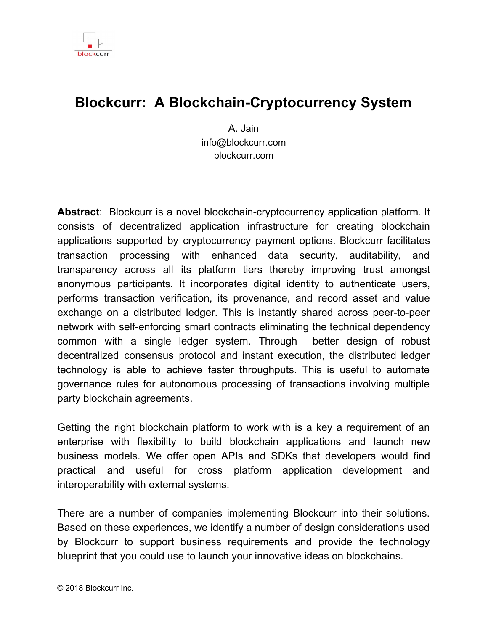

# Blockchain Platform

Blockchain platform architecture consists of a data structure with one or more connected block segments with identifiers, and programs linked together on a blockchain distributed architecture. Blockcurr codecs further secure digital assets, contracts and transactions as they get prepared for transport and sharing with other peer nodes.



The elements of a generic blockchain are as follows:

Segments: These provide unique identifiers to denote user accounts, senders and receivers, transaction sets, timestamp, nounce, external tokens, and state to package inside a blockchain.

Blocks: These contain identifiers for wallets, ledger and chain links.

Blockchain: This layer provides the block address and cryptography codecs to build segments, blockchains, and digital signatures.

Blockcurr's special purpose blockchains provide additional capabilities for data storage, creation of cryptocurrency and tokens, business logic and workflow integrations, programs and smart contract execution, and for interoperability with cryptocurrency exchanges.

The blockchain application platform is easy to use and provides seamless integrations with underlying infrastructure to build and deploy applications on Blockcurr network.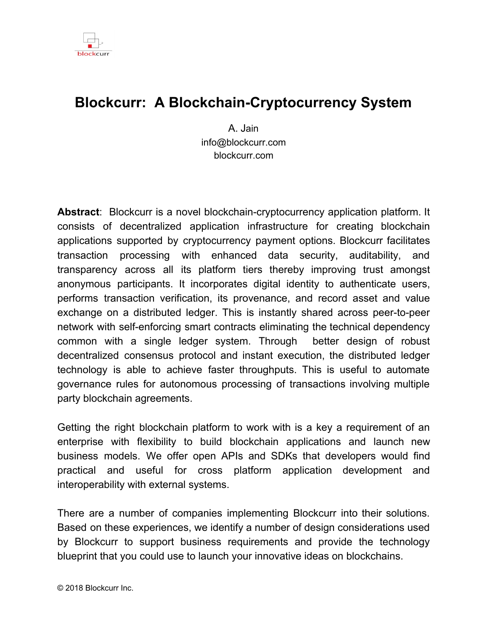

# **Docker**

Blockcurr's docker is used to store digital assets and cryptocurrency. It is made up of several key elements such as blockchain, domain signature, wallet, passcode, and security codecs.

#### Docker provides:

Container for storing digital assets Proof of creation and provenance Support for blockchain transaction and smart contract protocols Strong user privacy, identity verification and authentication protocol Strong security for transactions, payments, and data Fast validations necessary to send and receive data and payments Tamper proof digital signature scheme Mechanism for certifying autonomous data sharing

Docker allows developers to digitize, store, and share data with multiple parties linked to smart contracts and makes it available when required for processing with blockchain transactions.

#### **Accounts**

In Blockcurr, a blockchain is created to manage account profiles for users, entities and devices. It includes identity validations for user documents supported by verification levels and utilizes tokens for devices. Each account is assigned a wallet with blockchain identifiers, and crypto codes essential to maintaining privacy of accounts at all times. Account information is used to verify trades, token ownership, transaction ledgers, data access and controls.

Once an account is created, it provides users access to blockchain transactions and their data.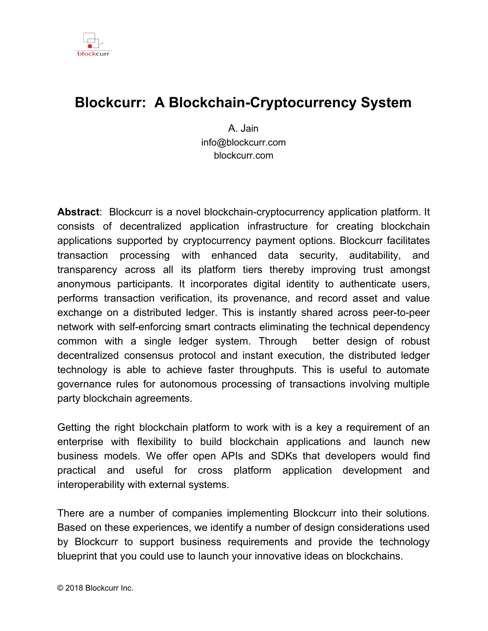

# Distributed Ledger Technology

Blockcurr consists of a distributed ledger technology with decentralized identity management solution for sharing data among peers in the network. The ledger provides a time-ordered sequence of transactions, is immutable and publicly verifiable. The hash chunks are cryptographically-secure to ensure integrity of blockchain, prevent tampering and misuse. Each peer also maintains a copy of the ledger. All transactions are validated by peer nodes against Blockcurr's blockchain protocol; updates to the blockchain and final states are made autonomously with consensus among participating nodes on the network.



Temporal slice of Merkel forest

Illustration shows standard model of Merkle binary tree with vertices  $(a_{ij})$ , intermediate nodes and leafs computed. The root node summarizes its child hashes, same is the case with intermediary nodes, and leaf summarizes data block hashes.

$$
\mathbf{a}_{ij} = \mathbf{n}(\mathbf{a}_{i+1;2j} \mathbf{a}_{i+1;2j+1}), \quad i \in \{0, ..., k-1\}, \quad j \in \{0, ..., 2i-1\}, \quad \mathbf{a}_{kj} \text{ for } j \in \{0, ..., 2^k-1\}
$$

Blockcurr ledger implementation is based on extended Merkel Tree with novel construction of poly hash signature scheme that is collision resistant and supports temporal authentication. This provides faster validation, verification and auditability of transactions and digital documents on the network. All block segments of a Merkle tree have a unique hash with corresponding hash identifiers. As more blockchains are created, the hash data is linked to the transaction blocks as branches progress sequentially, in blocks, and as more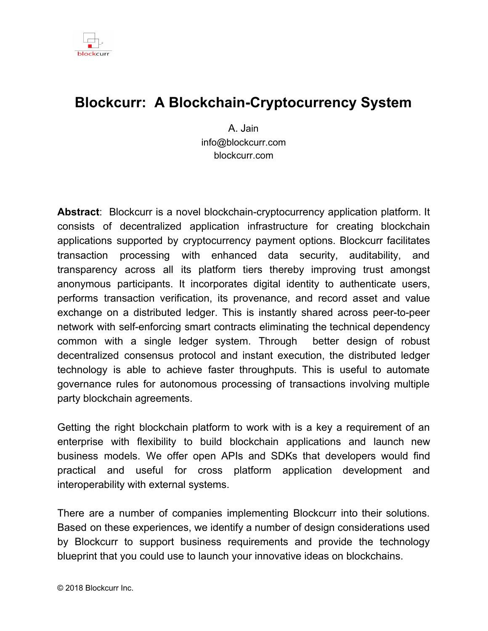

leaves get added dynamically. The trees can grow sequential to quintillion blocks and increase by the same amount thus offering a large spectrum to record transactions. Trees can also grow sideways depending upon the implementation with smart contracts and DApps.

Blockcurr's distributed ledger technology allows the creation of blockchain registry to manage personal information, store digital content and their value securely and anonymously. It serves as a valuable resource for managing the digital rights of users and their digital assets. The ledger features reconciliation, audit reports, and data access controls providing users complete control of their personal information. By simplifying the process of verifying and tracking ownership it makes the authorized data instantly transparent to all parties thereby lowering the cost to transfer assets.

## Cryptocurrency and Tokens

Blockcurr allows creation of custom cryptocurrency coins on its platform. All coins comply with Blockcurr's blockchain specification. These coins can be used for a variety of purposes such as currency, contracts, loyalty reward points, and in-game assets. They can also be redeemed for a service an issuer will provide at a later date. You can peg your coin or token value to another currency such as Bitcoin and Ethereum. Coins and tokens issued can also be easily verified to ensure ownership and redemption transactions.

The foundation for the new economic models with blockchains are based on incentivization using utility and security tokens. These can be traded on exchanges and open up wealth of opportunities to all participants including accredited and non-accredited investors.

Initial coin offering platforms provide a listing of companies and their tokens, encourages blockchain technology advancements and make it easy for entrepreneurs to raise capital from people around the world for their novel ideas.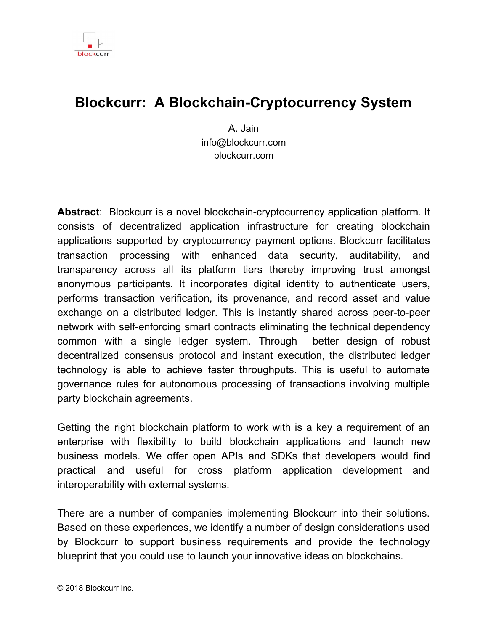

# **Transactions**

Blockchains have evolved from being distributed database to full fledged transaction chains that involve data, contracts, and business process interactions with various entities. The processing of these transaction chains at peer nodes could be coordinated with other local and network resources and support permissionless and permissioned blockchains. While these do not involve intermediaries, in the case of permissioned blockchains, multiple parties could be involved depending upon the conditions stipulated in transaction contracts.



Blockcurr transaction involves the use of several integrated technology, some of the main ones are as follows:

- Blockchain Platform: This issues blockchains for transactions.
- Cryptography: This consists of industry grade cryptography standards to secure data and transaction chains.
- Digital Signature: This is used to certify blockchain origins.
- Wallet: This is used to store digital currency, transactions, and digital assets.
- Passcode: This is used to secure user accounts and digital assets.
- Distributed Ledger Technology: This is used to record all trades, blockchain transactions, and manage account balances.
- Peer Node: This provides capabilities for real-time processing of blockchains and communications with other nodes. Each node supports distributed transaction processing capabilities and more nodes can easily be added to scale throughputs with growth.

Establishing decentralized application interactions with private blockchains and peer nodes is another important feature of the platform so that transaction chains can be seamlessly integrated with enterprise systems.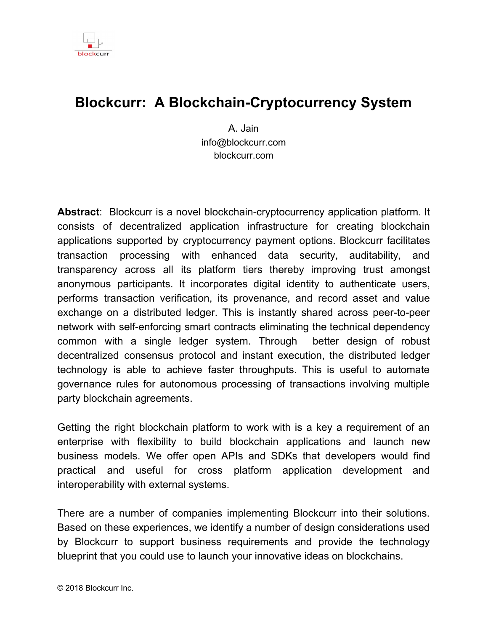

# Blockchain Databases

Blockcurr supports the use of shared public and private databases to record blockchain transactions deployed on a decentralized peer to peer network. Some of the databases that it interfaces with are follows:

- Transaction db: Records transactions amongst participating nodes.
- Trading db: Records trades on exchanges.
- Storage db: Stores of digital assets.
- Machine Learning db: Stores data from learning and predictive systems.
- Cognitive db: Provides fast intelligence and smart assistance to participating nodes and external networks.



Blockcurr provides open API's to connect with databases, big data solutions, and mobile applications so that you can leverage the full capabilities of blockchain application platform leveraging content and data from your internal IT systems.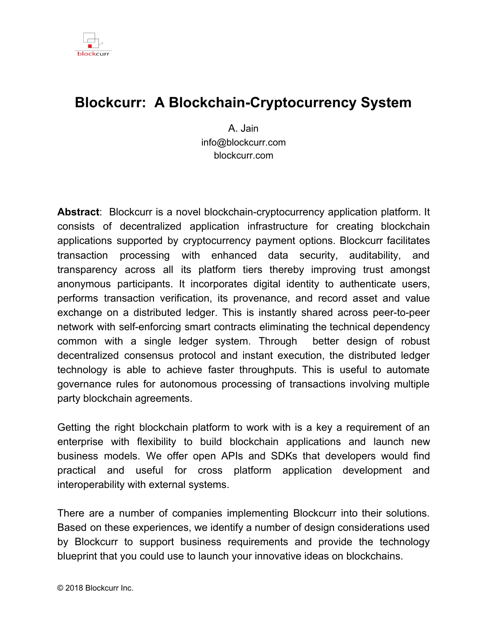

# Kernel

Blockcurr Kernel contains programs that operate as a network of virtual computing resources that are globally accessible to run state machines and programs to execute smart contracts and transaction processing. Data from one or more block chains can be combined to create new blockchains or to model behavior of system based on the state. Blockcurr connects with one or more participating nodes and network protocols for consensus and data sharing, provides access point for services and decentralized applications with built-in economic functions.

Cryptography core utilizes bit-level, randomized bit-wise, and session based key algorithms for computing blockchain hashes and encryption functions for variable block lengths, ciphers, and symbols with no restrictions. Additionally, many other algorithms are made available to enhance the security even further with the goal to deliver an optimal balance between security and time to encrypt and decrypt blockchain streams.



Blockcurr's compact code results in fast software implementations of peer nodes

with discrete blockchain processing capabilities and distributed computing power to match the transaction processing needs. It is particularly suitable for cryptographic applications where transaction volume is large and faster response times are essential for trade confirmation in a distributed network.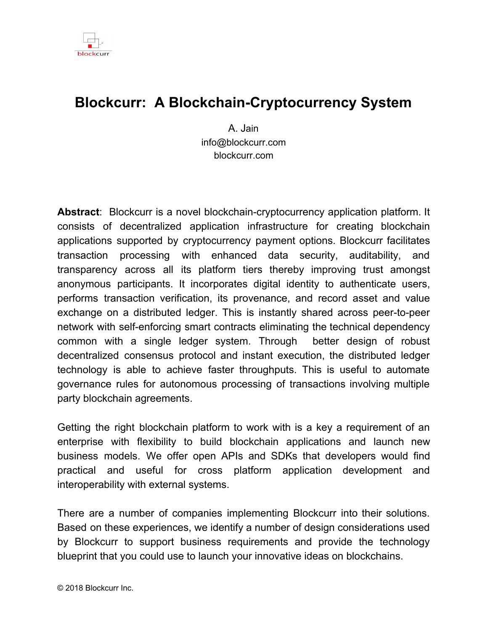![](_page_10_Picture_1.jpeg)

#### Peer-to-Peer Network

Blockcurr peer-to-peer network consists of nodes integrated into a mesh architecture as illustrated below. A node can run multiple instances, each contains programs to run blockchain algorithms, operate peer exchanges and execute transactions. The network topology facilitates seamless coordination with other nodes to communicate, send and receive messages, search and query databases, and interact with cloud and mobile applications.

![](_page_10_Figure_4.jpeg)

Node: A node on a peer-to-peer network is linked with other nodes within the same environment, or deployed within a mesh architecture to perform various functions such as validate transactions, verify payments, facilitate consensus, and secure communication channels.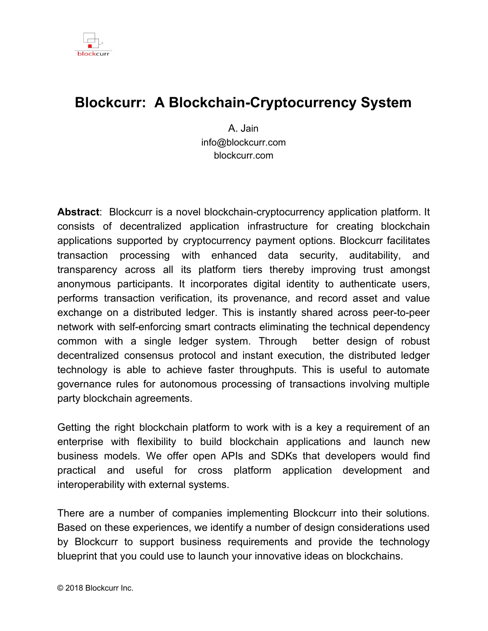![](_page_11_Picture_1.jpeg)

# Decentralized Distributed System

Blockcurr decentralized distributed system consists of computing resources operating on a distributed hardware and software architecture. All nodes can easily be replicated and extended, have built-in fault tolerance with features to execute smart contracts and multi-party interactions, send and receive messages to each other over HTTP(S) and TCP/IP transport protocols.

The characteristics of decentralized network are as follows:

- Consistency: All nodes in a distributed system are automatically synchronized, and have the latest copy of transaction data.
- Integrity: Maintain reliable record of transactions, communications, and messages in a tamper-proof way, protecting the system and ensuring survival from security threats.
- Consensus: Each node operates independently to validate and verify data following consensus protocols across multiple endpoints.
- Fault Tolerance: Built-in redundancy and robustness ensures the distributed system continues to operate and transition workloads without halting while allowing the failed endpoints to recover automatically.
- Availability: The system is available and accessible with 100% uptime.
- Accountability: Maintain accountability and improve performance through audit trails and active profiling of network data streams.
- Transparency: Maintain complete transparency between trusted network endpoints by sharing latest information on ledger, transactions, and state information.
- Security: Provides multiple levels of security and monitoring at each node with cyber defense techniques that restrict access to sensitive information and ensure privacy of communication channels over public and private network protocols.
- Self-organization: The system can be configured for single and multi-node processing of blockchain data streams, additional rules can be defined to service transaction chains, and monitors can be configured locally to manage the nodes independently or coordinate with other peer nodes on the network.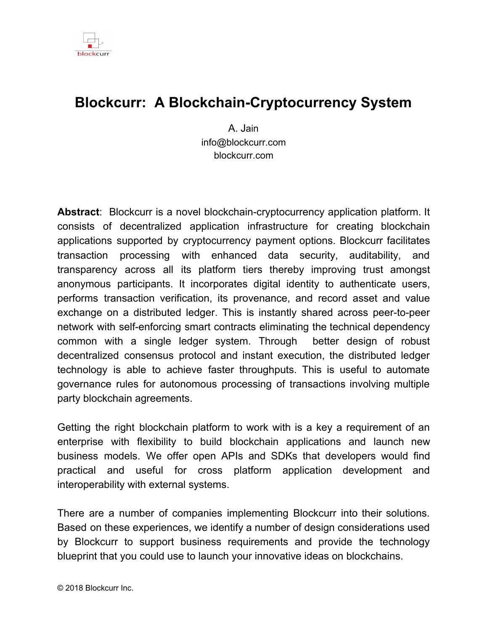![](_page_12_Picture_1.jpeg)

# Summary

The work presented in this white paper sought to uncover how Blockcurr could be used to support development of decentralized applications, new business models, and to innovate enterprises. The platform provides a system for building DAO networks and does not require massive investments in computational resources. The solution is robust, simple to implement and supports interoperability with other public blockchain platforms.

Blockcurr's kernel provides the core infrastructure necessary to create blockchains, tracking assets, digital signatures, securing event streams, and cryptocurrency, providing complete control of the environment and accelerating the pace of application development. The account over spending problem is eliminated through automated proof-of-amount verification of transactions and consensus protocols at the nodes as they occur. The innovations in ledger design and codecs make it computationally complex for nodes to make any changes on their own. There are additional provisions for self regulation of peer nodes that permit blockchain and smart contract processing without requiring any intermediary or network coordination. Blockcurr nodes can be easily added or removed to scale with the growth of blockchains across public or private networks.

*Future work:* Blockcurr technology presented in this paper provides all the building blocks to help you make the most of blockchain computing technologies. To implement blockchains, we discussed some of the key components and architecture that are essential to develop ideas for your enterprise and leverage our experience and findings to innovate business models. Our work continues to focus on building and providing you the core technologies that can make a meaningful impact in this fast emerging blockchain ecosystem that can potentially benefit everyone.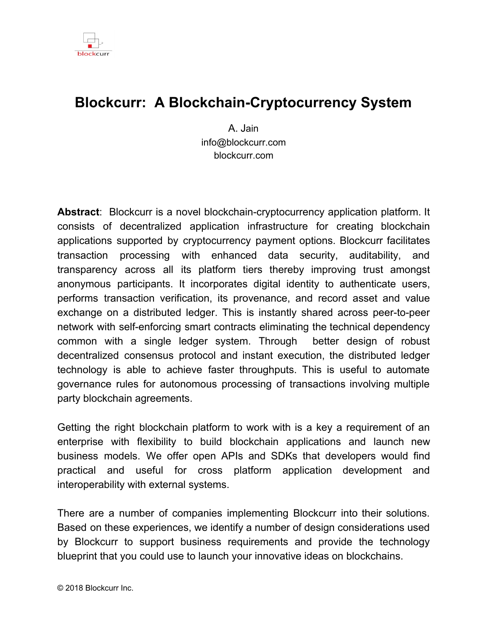![](_page_13_Picture_1.jpeg)

# Additional sources

List of papers that discuss many of the concepts important to the future with blockchain.

- 1992 Tim May. The Crypto Anarchist Manifesto
- 1997 Adam Back. Hashcash
- 1997 Nick Szabo. Formalizing and Securing Relationships on Public **Networks**
- 1998 Dai, Wei. "B-Money"
- 2002 Adam Back. "Hashcash A Denial of Service Counter-Measure"
- 2003 Jain, A. & Juneja, N., Business Services Network, The 2nd generation Web
- 2005 Hal Finney, "Reusable proofs of work"
- 2008 Satoshi Nakamoto. Bitcoin: A Peer-to-Peer Electronic Cash System
- 2013 Vitalik Buterin. Ethereum. Bootstrapping A Decentralized Autonomous **Corporation**
- 2015 Bohme, Rainer, Nicolas Christin, Benjamin Edelman, and Tyler Moore. Bitcoin: Economics, Technology, and Governance, The Journal of Economic Perspectives 29, 213{238.
- 2016 Raskin, Max, and David Yermack. Digital currencies, decentralized ledgers, and the future of central banking, National Bureau of Economic Research.
- 2017 Aune, Rune Tevasvold, Maureen O'Hara, and Ouziel Slama, Footprints on the blockchain: Trading and information leakage in distributed ledgers, The Journal of Trading.